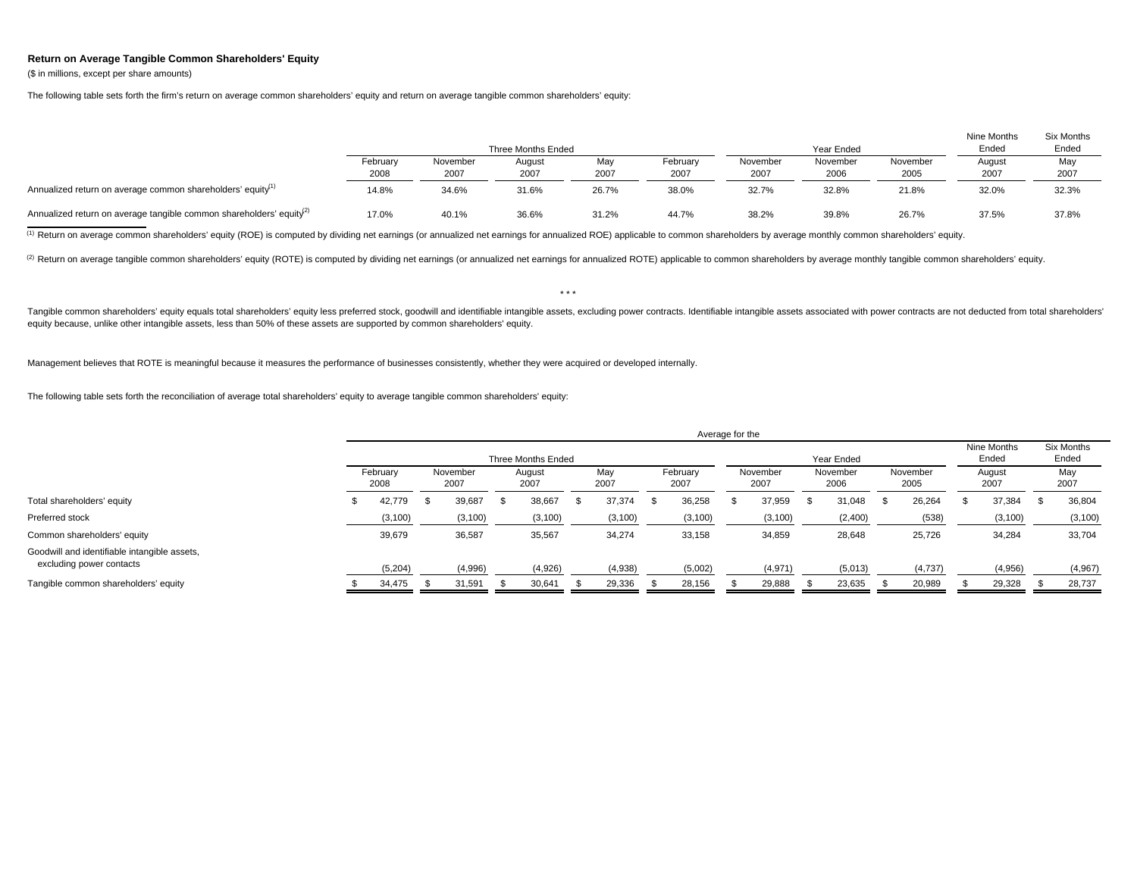## **Return on Average Tangible Common Shareholders' Equity**

(\$ in millions, except per share amounts)

The following table sets forth the firm's return on average common shareholders' equity and return on average tangible common shareholders' equity:

|                                                                                 |                  |                  | Three Months Ended |             |                  |                  | Year Ended       |                  | Nine Months<br>Ended | Six Months<br>Ended |
|---------------------------------------------------------------------------------|------------------|------------------|--------------------|-------------|------------------|------------------|------------------|------------------|----------------------|---------------------|
|                                                                                 | February<br>2008 | November<br>2007 | August<br>2007     | May<br>2007 | February<br>2007 | November<br>2007 | November<br>2006 | November<br>2005 | August<br>2007       | May<br>2007         |
| Annualized return on average common shareholders' equity <sup>(1)</sup>         | 14.8%            | 34.6%            | 31.6%              | 26.7%       | 38.0%            | 32.7%            | 32.8%            | 21.8%            | 32.0%                | 32.3%               |
| Annualized return on average tangible common shareholders' equity <sup>2)</sup> | 17.0%            | 40.1%            | 36.6%              | 31.2%       | 44.7%            | 38.2%            | 39.8%            | 26.7%            | 37.5%                | 37.8%               |

<sup>(1)</sup> Return on average common shareholders' equity (ROE) is computed by dividing net earnings (or annualized net earnings for annualized ROE) applicable to common shareholders by average monthly common shareholders' equit

<sup>(2)</sup> Return on average tangible common shareholders' equity (ROTE) is computed by dividing net earnings (or annualized net earnings for annualized ROTE) applicable to common shareholders by average monthly tangible common

Tangible common shareholders' equity equals total shareholders' equity less preferred stock, goodwill and identifiable intangible assets, excluding power contracts. Identifiable intangible assets associated with power cont equity because, unlike other intangible assets, less than 50% of these assets are supported by common shareholders' equity.

\* \* \*

Management believes that ROTE is meaningful because it measures the performance of businesses consistently, whether they were acquired or developed internally.

The following table sets forth the reconciliation of average total shareholders' equity to average tangible common shareholders' equity:

|                                                                          | Average for the    |  |                  |  |                |  |             |  |                  |  |                  |                      |                  |                     |                  |  |                |  |             |
|--------------------------------------------------------------------------|--------------------|--|------------------|--|----------------|--|-------------|--|------------------|--|------------------|----------------------|------------------|---------------------|------------------|--|----------------|--|-------------|
|                                                                          | Three Months Ended |  |                  |  |                |  |             |  |                  |  |                  | Nine Months<br>Ended |                  | Six Months<br>Ended |                  |  |                |  |             |
|                                                                          | February<br>2008   |  | November<br>2007 |  | August<br>2007 |  | May<br>2007 |  | February<br>2007 |  | November<br>2007 |                      | November<br>2006 |                     | November<br>2005 |  | August<br>2007 |  | May<br>2007 |
| Total shareholders' equity                                               | 42,779             |  | 39,687           |  | 38,667         |  | 37,374      |  | 36,258           |  | 37,959           | ж.                   | 31,048           |                     | 26,264           |  | 37,384         |  | 36,804      |
| Preferred stock                                                          | (3,100)            |  | (3, 100)         |  | (3, 100)       |  | (3, 100)    |  | (3, 100)         |  | (3, 100)         |                      | (2,400)          |                     | (538)            |  | (3, 100)       |  | (3, 100)    |
| Common shareholders' equity                                              | 39,679             |  | 36,587           |  | 35,567         |  | 34,274      |  | 33,158           |  | 34,859           |                      | 28,648           |                     | 25,726           |  | 34,284         |  | 33,704      |
| Goodwill and identifiable intangible assets,<br>excluding power contacts | (5,204)            |  | (4,996)          |  | (4,926)        |  | (4,938)     |  | (5,002)          |  | (4,971)          |                      | (5,013)          |                     | (4,737)          |  | (4,956)        |  | (4,967)     |
| Tangible common shareholders' equity                                     | 34,475             |  | 31,591           |  | 30.641         |  | 29,336      |  | 28,156           |  | 29,888           |                      | 23,635           |                     | 20,989           |  | 29,328         |  | 28,737      |
|                                                                          |                    |  |                  |  |                |  |             |  |                  |  |                  |                      |                  |                     |                  |  |                |  |             |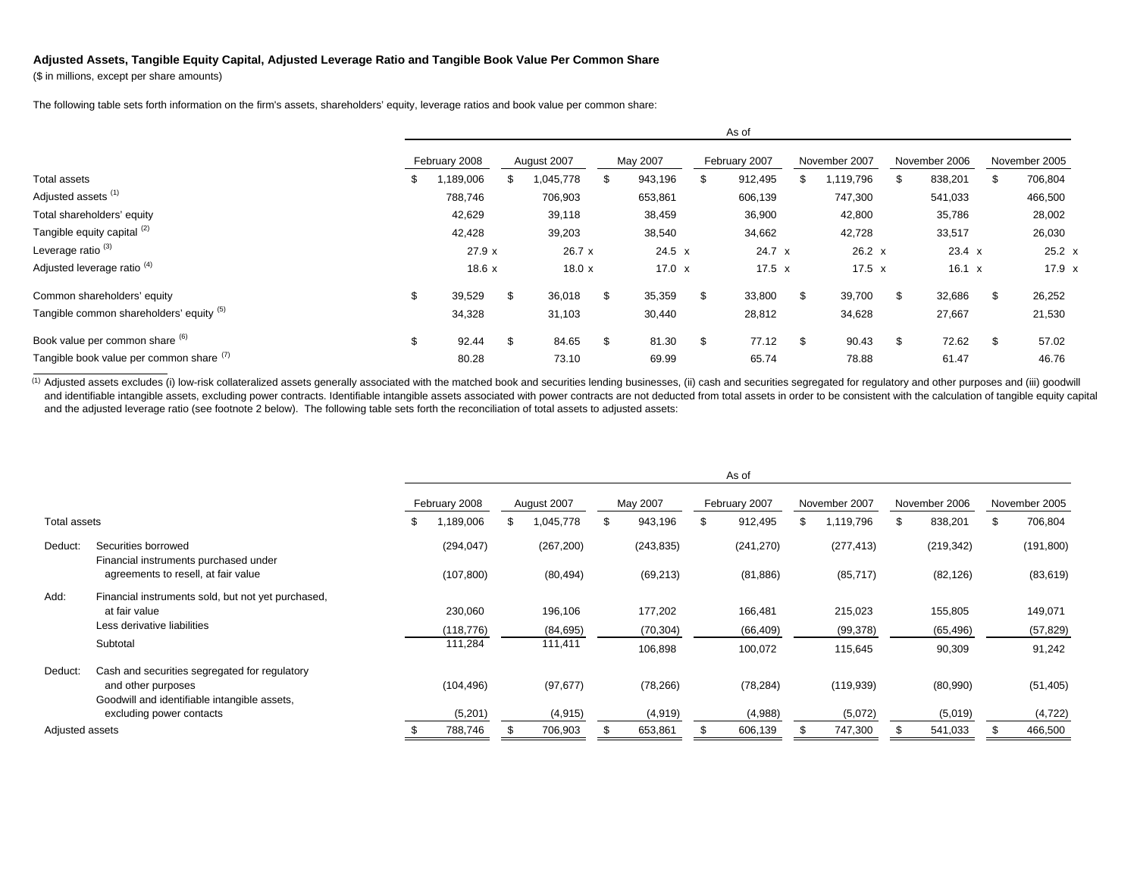## **Adjusted Assets, Tangible Equity Capital, Adjusted Leverage Ratio and Tangible Book Value Per Common Share**

(\$ in millions, except per share amounts)

The following table sets forth information on the firm's assets, shareholders' equity, leverage ratios and book value per common share:

|                                          |      |               |    |             |               |    | As of         |     |               |               |               |
|------------------------------------------|------|---------------|----|-------------|---------------|----|---------------|-----|---------------|---------------|---------------|
|                                          |      | February 2008 |    | August 2007 | May 2007      |    | February 2007 |     | November 2007 | November 2006 | November 2005 |
| Total assets                             | - 35 | ,189,006      | ж  | .045,778    | 943,196       | \$ | 912,495       |     | 1,119,796     | 838,201<br>\$ | 706,804       |
| Adjusted assets <sup>(1)</sup>           |      | 788,746       |    | 706,903     | 653,861       |    | 606,139       |     | 747,300       | 541,033       | 466,500       |
| Total shareholders' equity               |      | 42,629        |    | 39,118      | 38,459        |    | 36,900        |     | 42,800        | 35,786        | 28,002        |
| Tangible equity capital (2)              |      | 42,428        |    | 39,203      | 38,540        |    | 34,662        |     | 42,728        | 33,517        | 26,030        |
| Leverage ratio <sup>(3)</sup>            |      | 27.9x         |    | 26.7 x      | $24.5 \times$ |    | 24.7 x        |     | $26.2 \times$ | 23.4 x        | $25.2 \times$ |
| Adjusted leverage ratio <sup>(4)</sup>   |      | 18.6x         |    | 18.0 x      | 17.0 $x$      |    | $17.5 \times$ |     | 17.5 $x$      | $16.1 \times$ | $17.9 \times$ |
| Common shareholders' equity              | \$   | 39,529        | \$ | 36,018      | \$<br>35,359  | \$ | 33,800        | \$. | 39,700        | \$<br>32,686  | 26,252        |
| Tangible common shareholders' equity (5) |      | 34,328        |    | 31,103      | 30,440        |    | 28,812        |     | 34,628        | 27,667        | 21,530        |
| Book value per common share (6)          | \$   | 92.44         | \$ | 84.65       | 81.30         | \$ | 77.12         | \$. | 90.43         | 72.62<br>\$   | 57.02         |
| Tangible book value per common share (1) |      | 80.28         |    | 73.10       | 69.99         |    | 65.74         |     | 78.88         | 61.47         | 46.76         |

(1) Adjusted assets excludes (i) low-risk collateralized assets generally associated with the matched book and securities lending businesses, (ii) cash and securities segregated for regulatory and other purposes and (iii) and identifiable intangible assets, excluding power contracts. Identifiable intangible assets associated with power contracts are not deducted from total assets in order to be consistent with the calculation of tangible eq and the adjusted leverage ratio (see footnote 2 below). The following table sets forth the reconciliation of total assets to adjusted assets:

|                 |                                                              |     |               |             |     |            | As of         |   |               |    |               |               |
|-----------------|--------------------------------------------------------------|-----|---------------|-------------|-----|------------|---------------|---|---------------|----|---------------|---------------|
|                 |                                                              |     | February 2008 | August 2007 |     | May 2007   | February 2007 |   | November 2007 |    | November 2006 | November 2005 |
| Total assets    |                                                              | \$. | 1,189,006     | 1,045,778   | \$. | 943,196    | \$<br>912,495 | S | 1,119,796     | £. | 838,201       | 706,804       |
| Deduct:         | Securities borrowed<br>Financial instruments purchased under |     | (294, 047)    | (267, 200)  |     | (243, 835) | (241, 270)    |   | (277, 413)    |    | (219, 342)    | (191, 800)    |
|                 | agreements to resell, at fair value                          |     | (107, 800)    | (80, 494)   |     | (69, 213)  | (81, 886)     |   | (85, 717)     |    | (82, 126)     | (83, 619)     |
| Add:            | Financial instruments sold, but not yet purchased,           |     |               |             |     |            |               |   |               |    |               |               |
|                 | at fair value                                                |     | 230,060       | 196,106     |     | 177,202    | 166,481       |   | 215,023       |    | 155,805       | 149,071       |
|                 | Less derivative liabilities                                  |     | (118, 776)    | (84, 695)   |     | (70, 304)  | (66, 409)     |   | (99, 378)     |    | (65, 496)     | (57, 829)     |
|                 | Subtotal                                                     |     | 111,284       | 111,411     |     | 106,898    | 100,072       |   | 115,645       |    | 90,309        | 91,242        |
| Deduct:         | Cash and securities segregated for regulatory                |     |               |             |     |            |               |   |               |    |               |               |
|                 | and other purposes                                           |     | (104, 496)    | (97, 677)   |     | (78, 266)  | (78, 284)     |   | (119, 939)    |    | (80,990)      | (51, 405)     |
|                 | Goodwill and identifiable intangible assets,                 |     |               |             |     |            |               |   |               |    |               |               |
|                 | excluding power contacts                                     |     | (5,201)       | (4, 915)    |     | (4, 919)   | (4,988)       |   | (5,072)       |    | (5,019)       | (4, 722)      |
| Adjusted assets |                                                              |     | 788,746       | 706,903     |     | 653,861    | 606,139       |   | 747,300       |    | 541,033       | 466,500       |